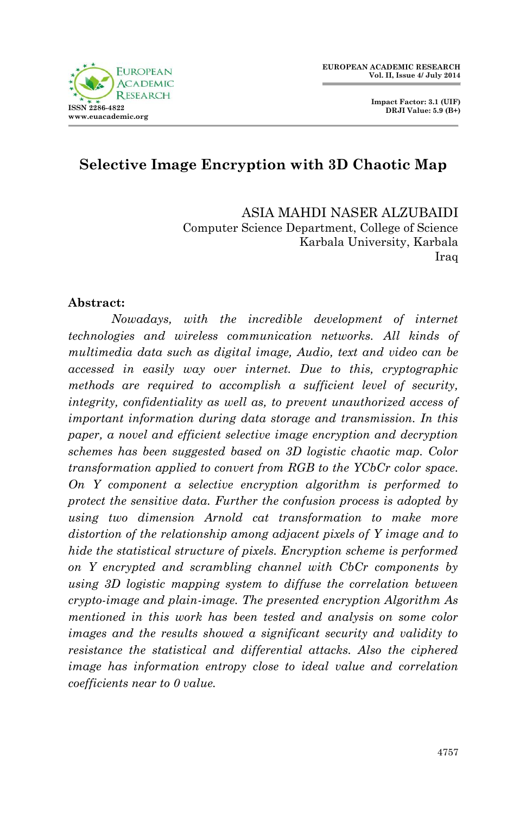

# **Selective Image Encryption with 3D Chaotic Map**

ASIA MAHDI NASER ALZUBAIDI Computer Science Department, College of Science Karbala University, Karbala Iraq

#### **Abstract:**

*Nowadays, with the incredible development of internet technologies and wireless communication networks. All kinds of multimedia data such as digital image, Audio, text and video can be accessed in easily way over internet. Due to this, cryptographic methods are required to accomplish a sufficient level of security, integrity, confidentiality as well as, to prevent unauthorized access of important information during data storage and transmission. In this paper, a novel and efficient selective image encryption and decryption schemes has been suggested based on 3D logistic chaotic map. Color transformation applied to convert from RGB to the YCbCr color space. On Y component a selective encryption algorithm is performed to protect the sensitive data. Further the confusion process is adopted by using two dimension Arnold cat transformation to make more distortion of the relationship among adjacent pixels of Y image and to hide the statistical structure of pixels. Encryption scheme is performed on Y encrypted and scrambling channel with CbCr components by using 3D logistic mapping system to diffuse the correlation between crypto-image and plain-image. The presented encryption Algorithm As mentioned in this work has been tested and analysis on some color images and the results showed a significant security and validity to resistance the statistical and differential attacks. Also the ciphered image has information entropy close to ideal value and correlation coefficients near to 0 value.*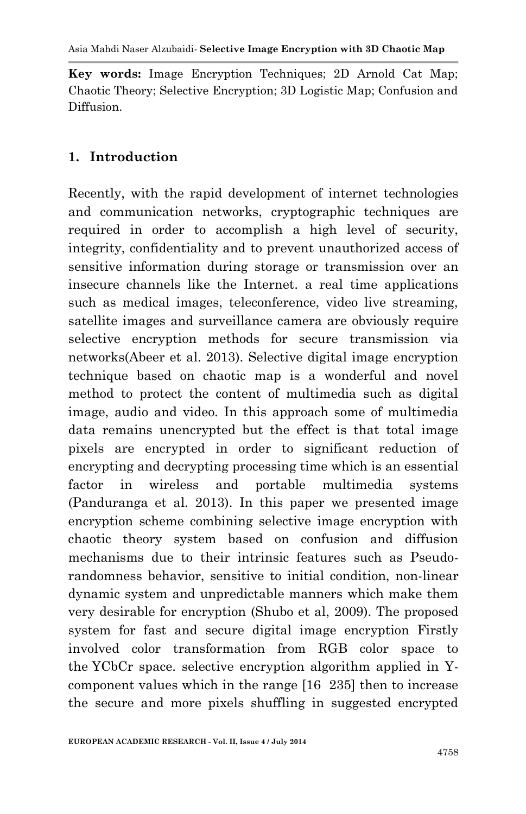**Key words:** Image Encryption Techniques; 2D Arnold Cat Map; Chaotic Theory; Selective Encryption; 3D Logistic Map; Confusion and Diffusion.

## **1. Introduction**

Recently, with the rapid development of internet technologies and communication networks, cryptographic techniques are required in order to accomplish a high level of security, integrity, confidentiality and to prevent unauthorized access of sensitive information during storage or transmission over an insecure channels like the Internet. a real time applications such as medical images, teleconference, video live streaming, satellite images and surveillance camera are obviously require selective encryption methods for secure transmission via networks(Abeer et al. 2013). Selective digital image encryption technique based on chaotic map is a wonderful and novel method to protect the content of multimedia such as digital image, audio and video. In this approach some of multimedia data remains unencrypted but the effect is that total image pixels are encrypted in order to significant reduction of encrypting and decrypting processing time which is an essential factor in wireless and portable multimedia systems (Panduranga et al. 2013). In this paper we presented image encryption scheme combining selective image encryption with chaotic theory system based on confusion and diffusion mechanisms due to their intrinsic features such as Pseudorandomness behavior, sensitive to initial condition, non-linear dynamic system and unpredictable manners which make them very desirable for encryption (Shubo et al, 2009). The proposed system for fast and secure digital image encryption Firstly involved color transformation from RGB color space to the YCbCr space. selective encryption algorithm applied in Ycomponent values which in the range [16 235] then to increase the secure and more pixels shuffling in suggested encrypted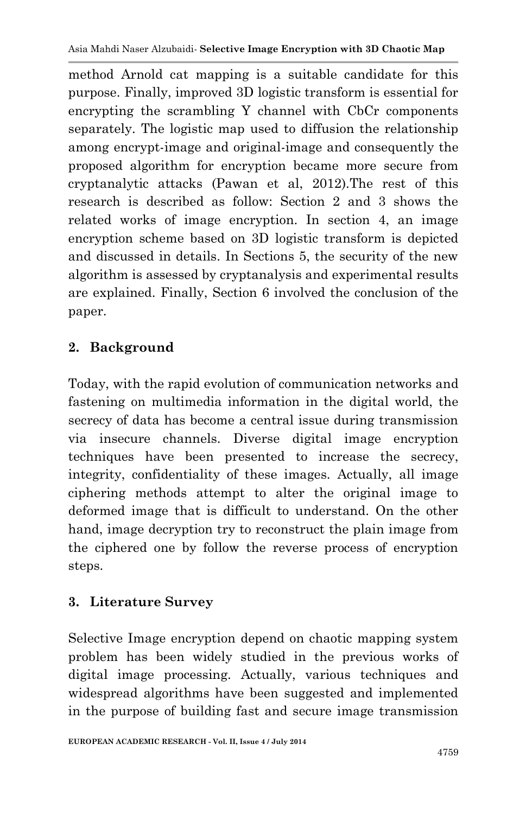method Arnold cat mapping is a suitable candidate for this purpose. Finally, improved 3D logistic transform is essential for encrypting the scrambling Y channel with CbCr components separately. The logistic map used to diffusion the relationship among encrypt-image and original-image and consequently the proposed algorithm for encryption became more secure from cryptanalytic attacks (Pawan et al, 2012).The rest of this research is described as follow: Section 2 and 3 shows the related works of image encryption. In section 4, an image encryption scheme based on 3D logistic transform is depicted and discussed in details. In Sections 5, the security of the new algorithm is assessed by cryptanalysis and experimental results are explained. Finally, Section 6 involved the conclusion of the paper.

# **2. Background**

Today, with the rapid evolution of communication networks and fastening on multimedia information in the digital world, the secrecy of data has become a central issue during transmission via insecure channels. Diverse digital image encryption techniques have been presented to increase the secrecy, integrity, confidentiality of these images. Actually, all image ciphering methods attempt to alter the original image to deformed image that is difficult to understand. On the other hand, image decryption try to reconstruct the plain image from the ciphered one by follow the reverse process of encryption steps.

# **3. Literature Survey**

Selective Image encryption depend on chaotic mapping system problem has been widely studied in the previous works of digital image processing. Actually, various techniques and widespread algorithms have been suggested and implemented in the purpose of building fast and secure image transmission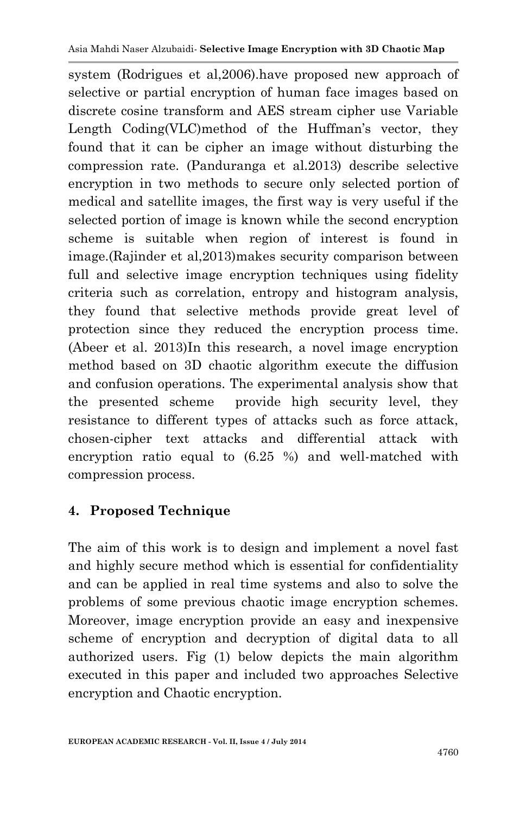system (Rodrigues et al,2006).have proposed new approach of selective or partial encryption of human face images based on discrete cosine transform and AES stream cipher use Variable Length Coding(VLC)method of the Huffman's vector, they found that it can be cipher an image without disturbing the compression rate. (Panduranga et al.2013) describe selective encryption in two methods to secure only selected portion of medical and satellite images, the first way is very useful if the selected portion of image is known while the second encryption scheme is suitable when region of interest is found in image.(Rajinder et al,2013)makes security comparison between full and selective image encryption techniques using fidelity criteria such as correlation, entropy and histogram analysis, they found that selective methods provide great level of protection since they reduced the encryption process time. (Abeer et al. 2013)In this research, a novel image encryption method based on 3D chaotic algorithm execute the diffusion and confusion operations. The experimental analysis show that the presented scheme provide high security level, they resistance to different types of attacks such as force attack, chosen-cipher text attacks and differential attack with encryption ratio equal to (6.25 %) and well-matched with compression process.

## **4. Proposed Technique**

The aim of this work is to design and implement a novel fast and highly secure method which is essential for confidentiality and can be applied in real time systems and also to solve the problems of some previous chaotic image encryption schemes. Moreover, image encryption provide an easy and inexpensive scheme of encryption and decryption of digital data to all authorized users. Fig (1) below depicts the main algorithm executed in this paper and included two approaches Selective encryption and Chaotic encryption.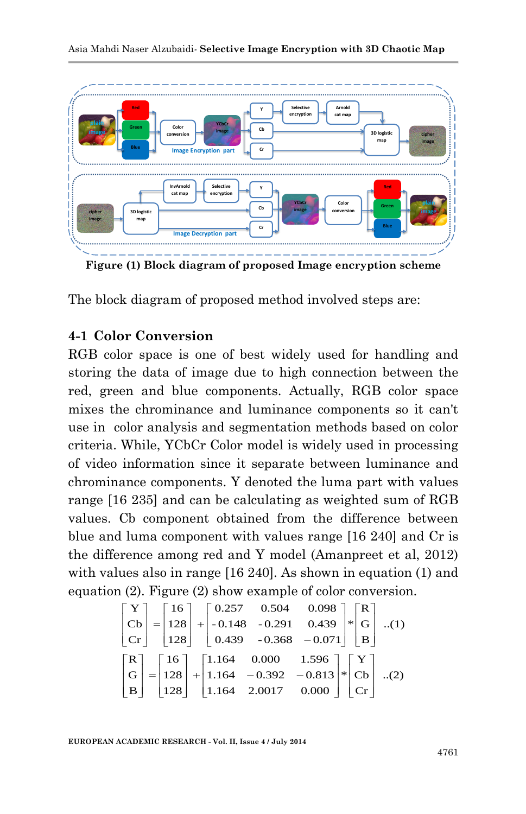

**Figure (1) Block diagram of proposed Image encryption scheme**

The block diagram of proposed method involved steps are:

#### **4-1 Color Conversion**

**Example 19 For the Contract of the Contract of the Contract of the Contract of the Contract of the Contract of the Contract of the Contract of the control of the contract of the control of the control of the control of t** RGB color space is one of best widely used for handling and storing the data of image due to high connection between the red, green and blue components. Actually, RGB color space mixes the chrominance and luminance components so it can't use in color analysis and segmentation methods based on color criteria. While, YCbCr Color model is widely used in processing of video information since it separate between luminance and chrominance components. Y denoted the luma part with values range [16 235] and can be calculating as weighted sum of RGB values. Cb component obtained from the difference between blue and luma component with values range [16 240] and Cr is the difference among red and Y model (Amanpreet et al, 2012) with values also in range [16 240]. As shown in equation (1) and equation (2). Figure (2) show example of color conversion.

$$
\begin{bmatrix} \mathbf{Y} \\ \mathbf{Cb} \\ \mathbf{Cr} \end{bmatrix} = \begin{bmatrix} 16 \\ 128 \\ 128 \end{bmatrix} + \begin{bmatrix} 0.257 & 0.504 & 0.098 \\ -0.148 & -0.291 & 0.439 \\ 0.439 & -0.368 & -0.071 \end{bmatrix} * \begin{bmatrix} \mathbf{R} \\ \mathbf{G} \\ \mathbf{B} \end{bmatrix} \quad ...(1)
$$

$$
\begin{bmatrix} \mathbf{R} \\ \mathbf{G} \\ \mathbf{B} \end{bmatrix} = \begin{bmatrix} 16 \\ 128 \\ 128 \end{bmatrix} + \begin{bmatrix} 1.164 & 0.000 & 1.596 \\ 1.164 & -0.392 & -0.813 \\ 1.164 & 2.0017 & 0.000 \end{bmatrix} * \begin{bmatrix} \mathbf{Y} \\ \mathbf{Cb} \\ \mathbf{Cr} \end{bmatrix} \quad ...(2)
$$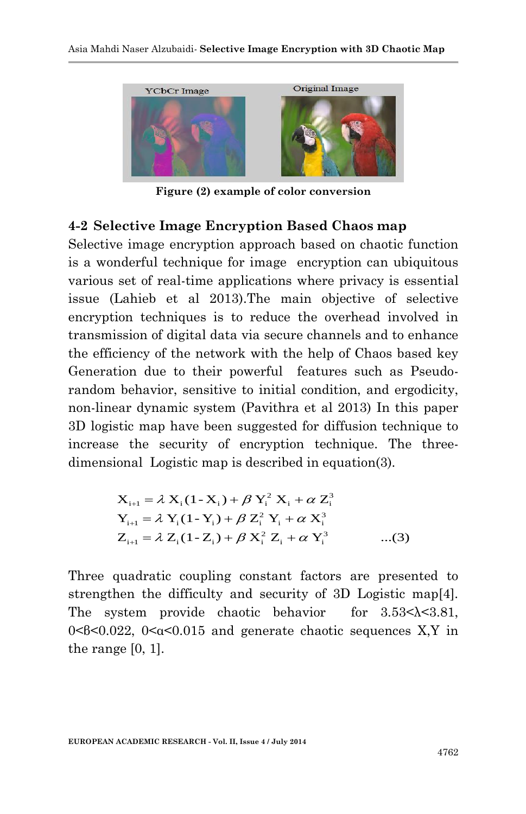

**Figure (2) example of color conversion**

#### **4-2 Selective Image Encryption Based Chaos map**

Selective image encryption approach based on chaotic function is a wonderful technique for image encryption can ubiquitous various set of real-time applications where privacy is essential issue (Lahieb et al 2013).The main objective of selective encryption techniques is to reduce the overhead involved in transmission of digital data via secure channels and to enhance the efficiency of the network with the help of Chaos based key Generation due to their powerful features such as Pseudorandom behavior, sensitive to initial condition, and ergodicity, non-linear dynamic system (Pavithra et al 2013) In this paper 3D logistic map have been suggested for diffusion technique to increase the security of encryption technique. The threedimensional Logistic map is described in equation(3).

$$
X_{i+1} = \lambda X_i (1 - X_i) + \beta Y_i^2 X_i + \alpha Z_i^3
$$
  
\n
$$
Y_{i+1} = \lambda Y_i (1 - Y_i) + \beta Z_i^2 Y_i + \alpha X_i^3
$$
  
\n
$$
Z_{i+1} = \lambda Z_i (1 - Z_i) + \beta X_i^2 Z_i + \alpha Y_i^3
$$
...(3)

Three quadratic coupling constant factors are presented to strengthen the difficulty and security of 3D Logistic map[4]. The system provide chaotic behavior for  $3.53 < \lambda < 3.81$ ,  $0 \leq 0.022$ ,  $0 \leq \alpha \leq 0.015$  and generate chaotic sequences X, Y in the range [0, 1].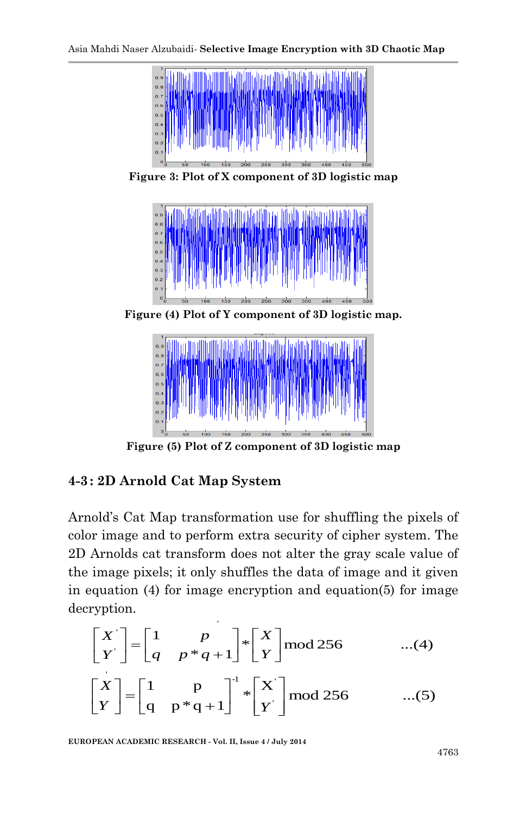

**Figure 3: Plot of X component of 3D logistic map**



**Figure (4) Plot of Y component of 3D logistic map.**



**Figure (5) Plot of Z component of 3D logistic map**

# **4-3: 2D Arnold Cat Map System**

Arnold's Cat Map transformation use for shuffling the pixels of color image and to perform extra security of cipher system. The 2D Arnolds cat transform does not alter the gray scale value of the image pixels; it only shuffles the data of image and it given in equation (4) for image encryption and equation(5) for image decryption.

$$
\begin{bmatrix} X' \\ Y \end{bmatrix} = \begin{bmatrix} 1 & p \\ q & p * q + 1 \end{bmatrix} * \begin{bmatrix} X \\ Y \end{bmatrix} \text{mod } 256 \qquad \dots (4)
$$

$$
\begin{bmatrix} X \\ Y \end{bmatrix} = \begin{bmatrix} 1 & p \\ q & p * q + 1 \end{bmatrix}^{-1} * \begin{bmatrix} X' \\ Y \end{bmatrix} \text{mod } 256 \quad ...(5)
$$

**EUROPEAN ACADEMIC RESEARCH - Vol. II, Issue 4 / July 2014**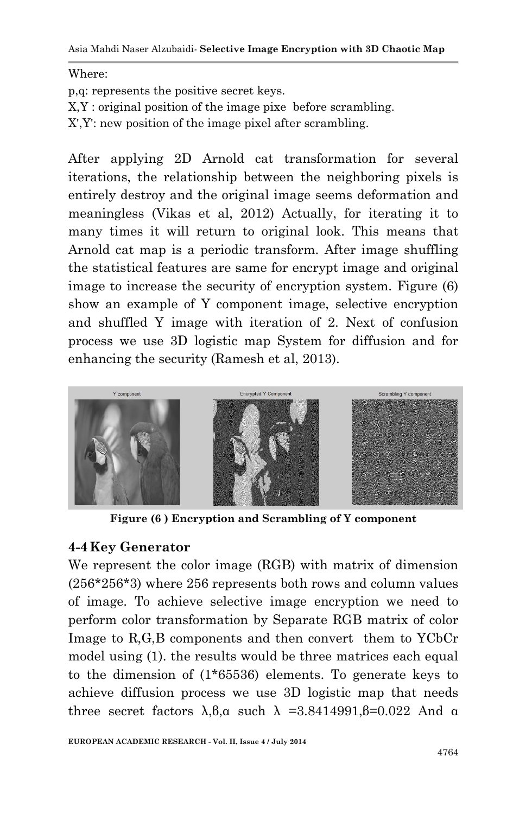Asia Mahdi Naser Alzubaidi*-* **Selective Image Encryption with 3D Chaotic Map**

Where:

p,q: represents the positive secret keys.

X,Y : original position of the image pixe before scrambling.

X',Y': new position of the image pixel after scrambling.

After applying 2D Arnold cat transformation for several iterations, the relationship between the neighboring pixels is entirely destroy and the original image seems deformation and meaningless (Vikas et al, 2012) Actually, for iterating it to many times it will return to original look. This means that Arnold cat map is a periodic transform. After image shuffling the statistical features are same for encrypt image and original image to increase the security of encryption system. Figure (6) show an example of Y component image, selective encryption and shuffled Y image with iteration of 2. Next of confusion process we use 3D logistic map System for diffusion and for enhancing the security (Ramesh et al, 2013).



**Figure (6 ) Encryption and Scrambling of Y component**

#### **4-4 Key Generator**

We represent the color image (RGB) with matrix of dimension (256\*256\*3) where 256 represents both rows and column values of image. To achieve selective image encryption we need to perform color transformation by Separate RGB matrix of color Image to R,G,B components and then convert them to YCbCr model using (1). the results would be three matrices each equal to the dimension of (1\*65536) elements. To generate keys to achieve diffusion process we use 3D logistic map that needs three secret factors  $\lambda$ ,  $\beta$ ,  $\alpha$  such  $\lambda$  =3.8414991,  $\beta$ =0.022 And  $\alpha$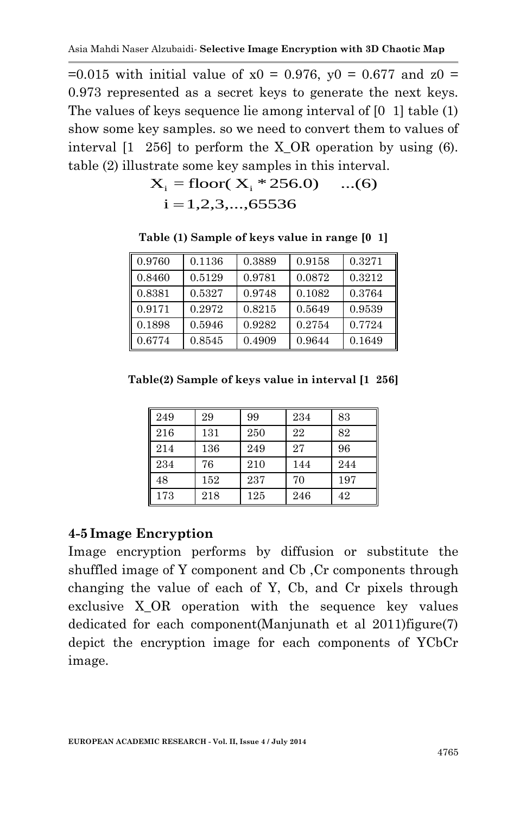$=0.015$  with initial value of  $x0 = 0.976$ ,  $y0 = 0.677$  and  $z0 =$ 0.973 represented as a secret keys to generate the next keys. The values of keys sequence lie among interval of [0 1] table (1) show some key samples. so we need to convert them to values of interval [1 256] to perform the X\_OR operation by using (6). table (2) illustrate some key samples in this interval.

$$
X_i = \text{floor}(X_i * 256.0) \quad ...(6)
$$
  
i = 1,2,3,...,65536

**Table (1) Sample of keys value in range [0 1]**

| 0.9760 | 0.1136 | 0.3889 | 0.9158 | 0.3271 |
|--------|--------|--------|--------|--------|
| 0.8460 | 0.5129 | 0.9781 | 0.0872 | 0.3212 |
| 0.8381 | 0.5327 | 0.9748 | 0.1082 | 0.3764 |
| 0.9171 | 0.2972 | 0.8215 | 0.5649 | 0.9539 |
| 0.1898 | 0.5946 | 0.9282 | 0.2754 | 0.7724 |
| 0.6774 | 0.8545 | 0.4909 | 0.9644 | 0.1649 |

**Table(2) Sample of keys value in interval [1 256]**

| 249 | 29  | 99  | 234 | 83  |
|-----|-----|-----|-----|-----|
| 216 | 131 | 250 | 22  | 82  |
| 214 | 136 | 249 | 27  | 96  |
| 234 | 76  | 210 | 144 | 244 |
| 48  | 152 | 237 | 70  | 197 |
| 173 | 218 | 125 | 246 | 42  |

#### **4-5Image Encryption**

Image encryption performs by diffusion or substitute the shuffled image of Y component and Cb ,Cr components through changing the value of each of Y, Cb, and Cr pixels through exclusive X\_OR operation with the sequence key values dedicated for each component(Manjunath et al 2011)figure(7) depict the encryption image for each components of YCbCr image.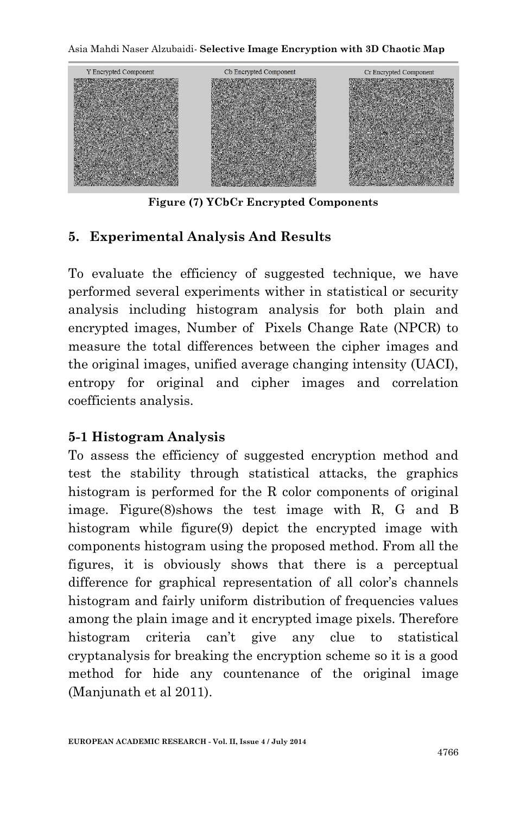Asia Mahdi Naser Alzubaidi*-* **Selective Image Encryption with 3D Chaotic Map**



**Figure (7) YCbCr Encrypted Components**

## **5. Experimental Analysis And Results**

To evaluate the efficiency of suggested technique, we have performed several experiments wither in statistical or security analysis including histogram analysis for both plain and encrypted images, Number of Pixels Change Rate (NPCR) to measure the total differences between the cipher images and the original images, unified average changing intensity (UACI), entropy for original and cipher images and correlation coefficients analysis.

#### **5-1 Histogram Analysis**

To assess the efficiency of suggested encryption method and test the stability through statistical attacks, the graphics histogram is performed for the R color components of original image. Figure(8)shows the test image with R, G and B histogram while figure(9) depict the encrypted image with components histogram using the proposed method. From all the figures, it is obviously shows that there is a perceptual difference for graphical representation of all color's channels histogram and fairly uniform distribution of frequencies values among the plain image and it encrypted image pixels. Therefore histogram criteria can't give any clue to statistical cryptanalysis for breaking the encryption scheme so it is a good method for hide any countenance of the original image (Manjunath et al 2011).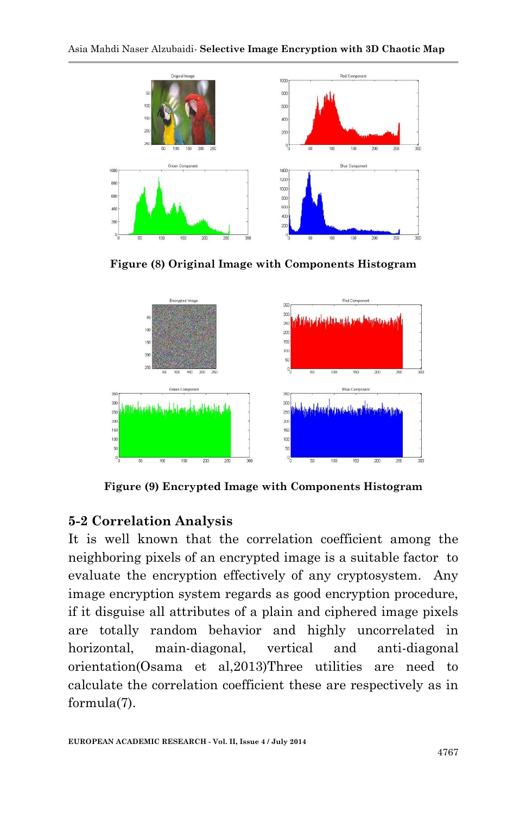

**Figure (8) Original Image with Components Histogram**



**Figure (9) Encrypted Image with Components Histogram**

# **5-2 Correlation Analysis**

It is well known that the correlation coefficient among the neighboring pixels of an encrypted image is a suitable factor to evaluate the encryption effectively of any cryptosystem. Any image encryption system regards as good encryption procedure, if it disguise all attributes of a plain and ciphered image pixels are totally random behavior and highly uncorrelated in horizontal, main-diagonal, vertical and anti-diagonal orientation(Osama et al,2013)Three utilities are need to calculate the correlation coefficient these are respectively as in formula(7).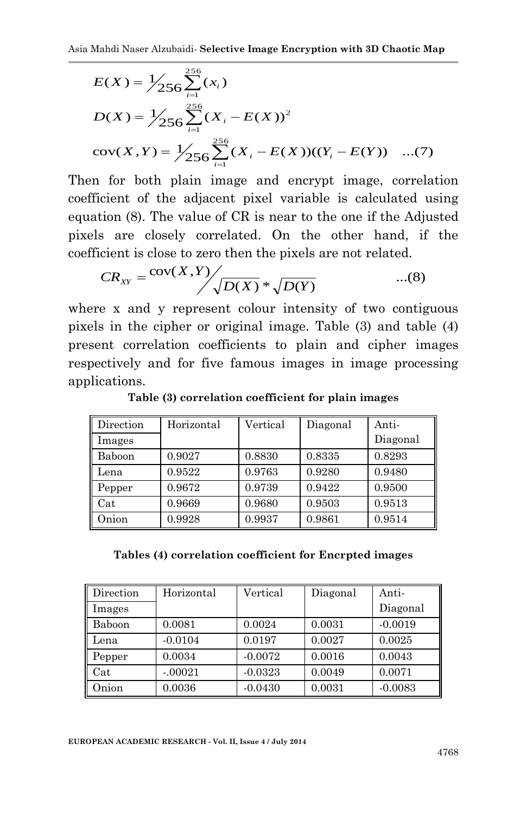$$
E(X) = \frac{1}{256} \sum_{i=1}^{256} (x_i)
$$
  
\n
$$
D(X) = \frac{1}{256} \sum_{i=1}^{256} (X_i - E(X))^2
$$
  
\n
$$
cov(X, Y) = \frac{1}{256} \sum_{i=1}^{256} (X_i - E(X))((Y_i - E(Y)) \quad ...(7)
$$

Then for both plain image and encrypt image, correlation coefficient of the adjacent pixel variable is calculated using equation (8). The value of CR is near to the one if the Adjusted pixels are closely correlated. On the other hand, if the coefficient is close to zero then the pixels are not related.

$$
CR_{XY} = \frac{\text{cov}(X,Y)}{\sqrt{D(X)} * \sqrt{D(Y)}} \qquad \qquad ...(8)
$$

where x and y represent colour intensity of two contiguous pixels in the cipher or original image. Table (3) and table (4) present correlation coefficients to plain and cipher images respectively and for five famous images in image processing applications.

| Direction | Horizontal | Vertical | Diagonal | Anti-    |
|-----------|------------|----------|----------|----------|
| Images    |            |          |          | Diagonal |
| Baboon    | 0.9027     | 0.8830   | 0.8335   | 0.8293   |
| Lena      | 0.9522     | 0.9763   | 0.9280   | 0.9480   |
| Pepper    | 0.9672     | 0.9739   | 0.9422   | 0.9500   |
| Cat       | 0.9669     | 0.9680   | 0.9503   | 0.9513   |
| Onion     | 0.9928     | 0.9937   | 0.9861   | 0.9514   |

**Table (3) correlation coefficient for plain images**

| Tables (4) correlation coefficient for Encrpted images |
|--------------------------------------------------------|
|--------------------------------------------------------|

| Direction            | Horizontal | Vertical  | Diagonal | Anti-     |
|----------------------|------------|-----------|----------|-----------|
| Images               |            |           |          | Diagonal  |
| Baboon               | 0.0081     | 0.0024    | 0.0031   | $-0.0019$ |
| Lena                 | $-0.0104$  | 0.0197    | 0.0027   | 0.0025    |
| Pepper               | 0.0034     | $-0.0072$ | 0.0016   | 0.0043    |
| $\operatorname{Cat}$ | $-.00021$  | $-0.0323$ | 0.0049   | 0.0071    |
| Onion                | 0.0036     | $-0.0430$ | 0.0031   | $-0.0083$ |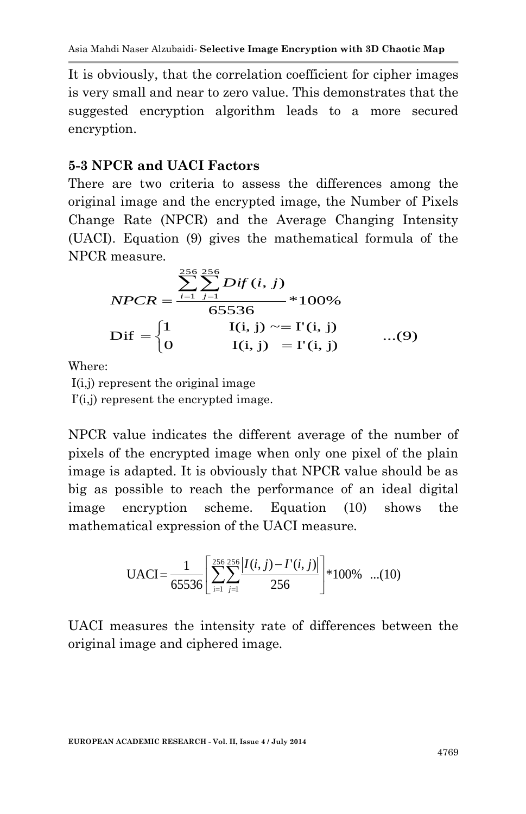It is obviously, that the correlation coefficient for cipher images is very small and near to zero value. This demonstrates that the suggested encryption algorithm leads to a more secured encryption.

## **5-3 NPCR and UACI Factors**

There are two criteria to assess the differences among the original image and the encrypted image, the Number of Pixels Change Rate (NPCR) and the Average Changing Intensity (UACI). Equation (9) gives the mathematical formula of the NPCR measure.

$$
NPCR = \frac{\sum_{i=1}^{256} \sum_{j=1}^{256} Dif(i, j)}{65536} * 100\%
$$
  
Diff = 
$$
\begin{cases} 1 & I(i, j) \sim= I'(i, j) \\ 0 & I(i, j) = I'(i, j) \end{cases} \dots (9)
$$

Where:

I(i,j) represent the original image

 $\Gamma(i,j)$  represent the encrypted image.

NPCR value indicates the different average of the number of pixels of the encrypted image when only one pixel of the plain image is adapted. It is obviously that NPCR value should be as big as possible to reach the performance of an ideal digital image encryption scheme. Equation (10) shows the mathematical expression of the UACI measure.

$$
\text{UACI} = \frac{1}{65536} \left[ \sum_{i=1}^{256} \sum_{j=1}^{256} \frac{|I(i,j) - I'(i,j)|}{256} \right] * 100\% \quad \dots (10)
$$

UACI measures the intensity rate of differences between the original image and ciphered image.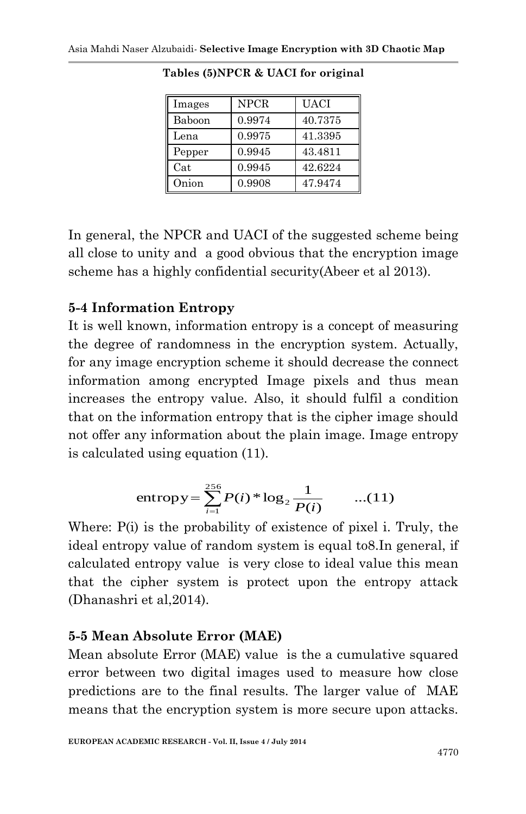| Images | <b>NPCR</b> | UACI    |
|--------|-------------|---------|
| Baboon | 0.9974      | 40.7375 |
| Lena   | 0.9975      | 41.3395 |
| Pepper | 0.9945      | 43.4811 |
| Cat    | 0.9945      | 42.6224 |
| Onion  | 0.9908      | 47.9474 |

**Tables (5)NPCR & UACI for original**

In general, the NPCR and UACI of the suggested scheme being all close to unity and a good obvious that the encryption image scheme has a highly confidential security(Abeer et al 2013).

#### **5-4 Information Entropy**

It is well known, information entropy is a concept of measuring the degree of randomness in the encryption system. Actually, for any image encryption scheme it should decrease the connect information among encrypted Image pixels and thus mean increases the entropy value. Also, it should fulfil a condition that on the information entropy that is the cipher image should not offer any information about the plain image. Image entropy is calculated using equation (11).

entropy = 
$$
\sum_{i=1}^{256} P(i) * \log_2 \frac{1}{P(i)}
$$
 ...(11)

Where:  $P(i)$  is the probability of existence of pixel i. Truly, the ideal entropy value of random system is equal to8.In general, if calculated entropy value is very close to ideal value this mean that the cipher system is protect upon the entropy attack (Dhanashri et al,2014).

#### **5-5 Mean Absolute Error (MAE)**

Mean absolute Error (MAE) value is the a cumulative squared error between two digital images used to measure how close predictions are to the final results. The larger value of MAE means that the encryption system is more secure upon attacks.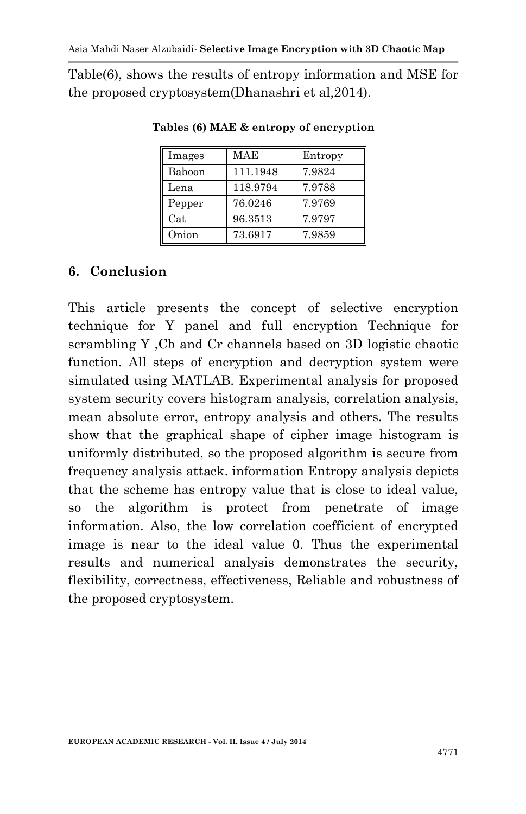Table(6), shows the results of entropy information and MSE for the proposed cryptosystem(Dhanashri et al,2014).

| Images | MAE      | Entropy |
|--------|----------|---------|
| Baboon | 111.1948 | 7.9824  |
| Lena   | 118.9794 | 7.9788  |
| Pepper | 76.0246  | 7.9769  |
| Cat    | 96.3513  | 7.9797  |
| Onion  | 73.6917  | 7.9859  |

**Tables (6) MAE & entropy of encryption**

## **6. Conclusion**

This article presents the concept of selective encryption technique for Y panel and full encryption Technique for scrambling Y ,Cb and Cr channels based on 3D logistic chaotic function. All steps of encryption and decryption system were simulated using MATLAB. Experimental analysis for proposed system security covers histogram analysis, correlation analysis, mean absolute error, entropy analysis and others. The results show that the graphical shape of cipher image histogram is uniformly distributed, so the proposed algorithm is secure from frequency analysis attack. information Entropy analysis depicts that the scheme has entropy value that is close to ideal value, so the algorithm is protect from penetrate of image information. Also, the low correlation coefficient of encrypted image is near to the ideal value 0. Thus the experimental results and numerical analysis demonstrates the security, flexibility, correctness, effectiveness, Reliable and robustness of the proposed cryptosystem.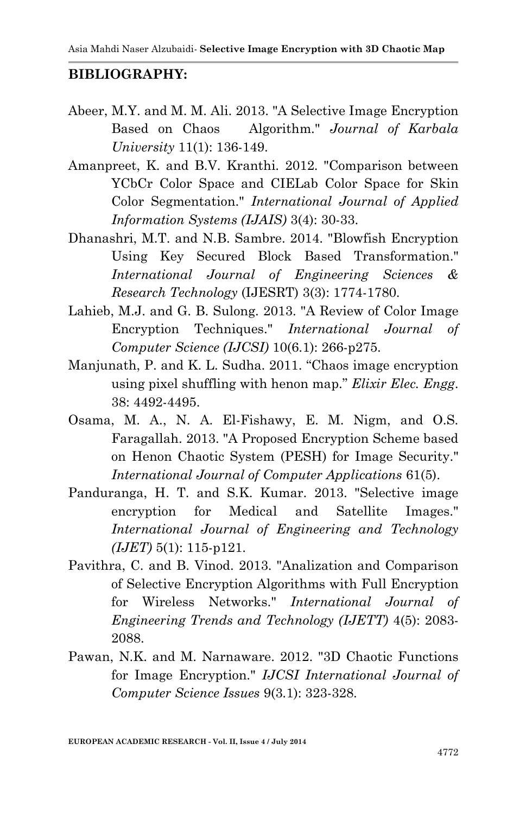#### **BIBLIOGRAPHY:**

- Abeer, M.Y. and M. M. Ali. 2013. "A Selective Image Encryption Based on Chaos Algorithm." *Journal of Karbala University* 11(1): 136-149.
- Amanpreet, K. and B.V. Kranthi. 2012. "Comparison between YCbCr Color Space and CIELab Color Space for Skin Color Segmentation." *International Journal of Applied Information Systems (IJAIS)* 3(4): 30-33.
- Dhanashri, M.T. and N.B. Sambre. 2014. "Blowfish Encryption Using Key Secured Block Based Transformation." *International Journal of Engineering Sciences & Research Technology* (IJESRT) 3(3): 1774-1780.
- Lahieb, M.J. and G. B. Sulong. 2013. "A Review of Color Image Encryption Techniques." *International Journal of Computer Science (IJCSI)* 10(6.1): 266-p275.
- Manjunath, P. and K. L. Sudha. 2011. "Chaos image encryption using pixel shuffling with henon map." *Elixir Elec. Engg*. 38: 4492-4495.
- Osama, M. A., N. A. El-Fishawy, E. M. Nigm, and O.S. Faragallah. 2013. "A Proposed Encryption Scheme based on Henon Chaotic System (PESH) for Image Security." *International Journal of Computer Applications* 61(5).
- Panduranga, H. T. and S.K. Kumar. 2013. "Selective image encryption for Medical and Satellite Images." *International Journal of Engineering and Technology (IJET)* 5(1): 115-p121.
- Pavithra, C. and B. Vinod. 2013. "Analization and Comparison of Selective Encryption Algorithms with Full Encryption for Wireless Networks." *International Journal of Engineering Trends and Technology (IJETT)* 4(5): 2083- 2088.
- Pawan, N.K. and M. Narnaware. 2012. "3D Chaotic Functions for Image Encryption." *IJCSI International Journal of Computer Science Issues* 9(3.1): 323-328.